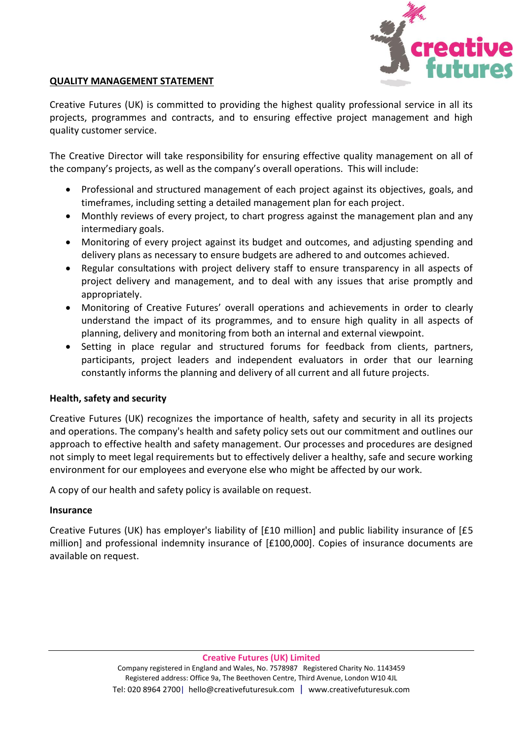

### **QUALITY MANAGEMENT STATEMENT**

Creative Futures (UK) is committed to providing the highest quality professional service in all its projects, programmes and contracts, and to ensuring effective project management and high quality customer service.

The Creative Director will take responsibility for ensuring effective quality management on all of the company's projects, as well as the company's overall operations. This will include:

- Professional and structured management of each project against its objectives, goals, and timeframes, including setting a detailed management plan for each project.
- Monthly reviews of every project, to chart progress against the management plan and any intermediary goals.
- Monitoring of every project against its budget and outcomes, and adjusting spending and delivery plans as necessary to ensure budgets are adhered to and outcomes achieved.
- Regular consultations with project delivery staff to ensure transparency in all aspects of project delivery and management, and to deal with any issues that arise promptly and appropriately.
- Monitoring of Creative Futures' overall operations and achievements in order to clearly understand the impact of its programmes, and to ensure high quality in all aspects of planning, delivery and monitoring from both an internal and external viewpoint.
- Setting in place regular and structured forums for feedback from clients, partners, participants, project leaders and independent evaluators in order that our learning constantly informs the planning and delivery of all current and all future projects.

# **Health, safety and security**

Creative Futures (UK) recognizes the importance of health, safety and security in all its projects and operations. The company's health and safety policy sets out our commitment and outlines our approach to effective health and safety management. Our processes and procedures are designed not simply to meet legal requirements but to effectively deliver a healthy, safe and secure working environment for our employees and everyone else who might be affected by our work.

A copy of our health and safety policy is available on request.

#### **Insurance**

Creative Futures (UK) has employer's liability of [£10 million] and public liability insurance of [£5 million] and professional indemnity insurance of [£100,000]. Copies of insurance documents are available on request.